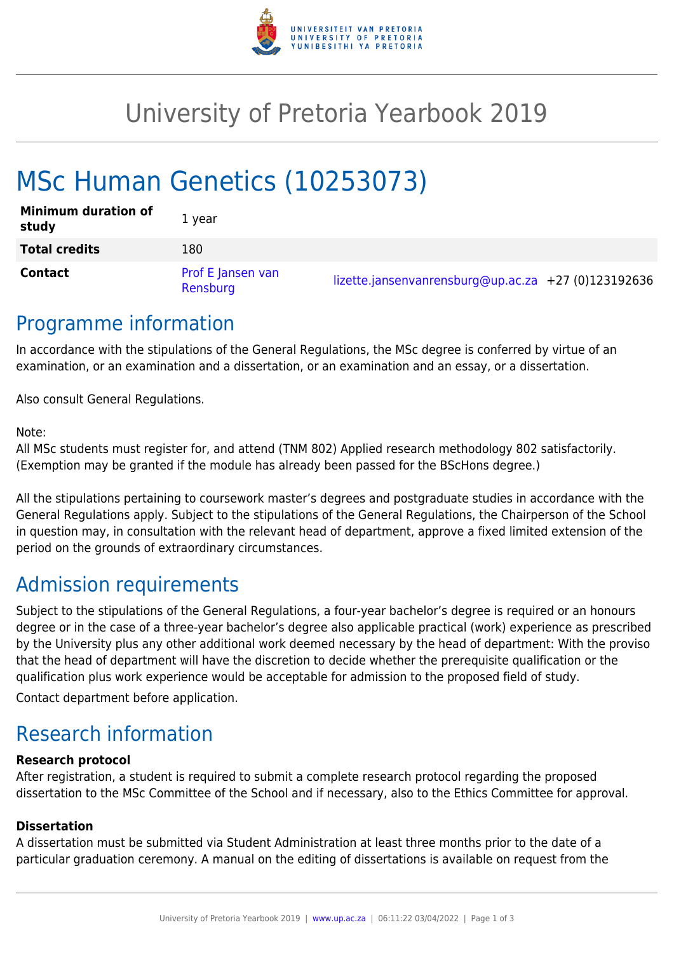

## University of Pretoria Yearbook 2019

# MSc Human Genetics (10253073)

| <b>Minimum duration of</b><br>study | 1 year                        |                                                     |  |
|-------------------------------------|-------------------------------|-----------------------------------------------------|--|
| <b>Total credits</b>                | 180                           |                                                     |  |
| <b>Contact</b>                      | Prof E Jansen van<br>Rensburg | lizette.jansenvanrensburg@up.ac.za +27 (0)123192636 |  |

### Programme information

In accordance with the stipulations of the General Regulations, the MSc degree is conferred by virtue of an examination, or an examination and a dissertation, or an examination and an essay, or a dissertation.

Also consult General Regulations.

Note:

All MSc students must register for, and attend (TNM 802) Applied research methodology 802 satisfactorily. (Exemption may be granted if the module has already been passed for the BScHons degree.)

All the stipulations pertaining to coursework master's degrees and postgraduate studies in accordance with the General Regulations apply. Subject to the stipulations of the General Regulations, the Chairperson of the School in question may, in consultation with the relevant head of department, approve a fixed limited extension of the period on the grounds of extraordinary circumstances.

## Admission requirements

Subject to the stipulations of the General Regulations, a four-year bachelor's degree is required or an honours degree or in the case of a three-year bachelor's degree also applicable practical (work) experience as prescribed by the University plus any other additional work deemed necessary by the head of department: With the proviso that the head of department will have the discretion to decide whether the prerequisite qualification or the qualification plus work experience would be acceptable for admission to the proposed field of study.

Contact department before application.

## Research information

#### **Research protocol**

After registration, a student is required to submit a complete research protocol regarding the proposed dissertation to the MSc Committee of the School and if necessary, also to the Ethics Committee for approval.

#### **Dissertation**

A dissertation must be submitted via Student Administration at least three months prior to the date of a particular graduation ceremony. A manual on the editing of dissertations is available on request from the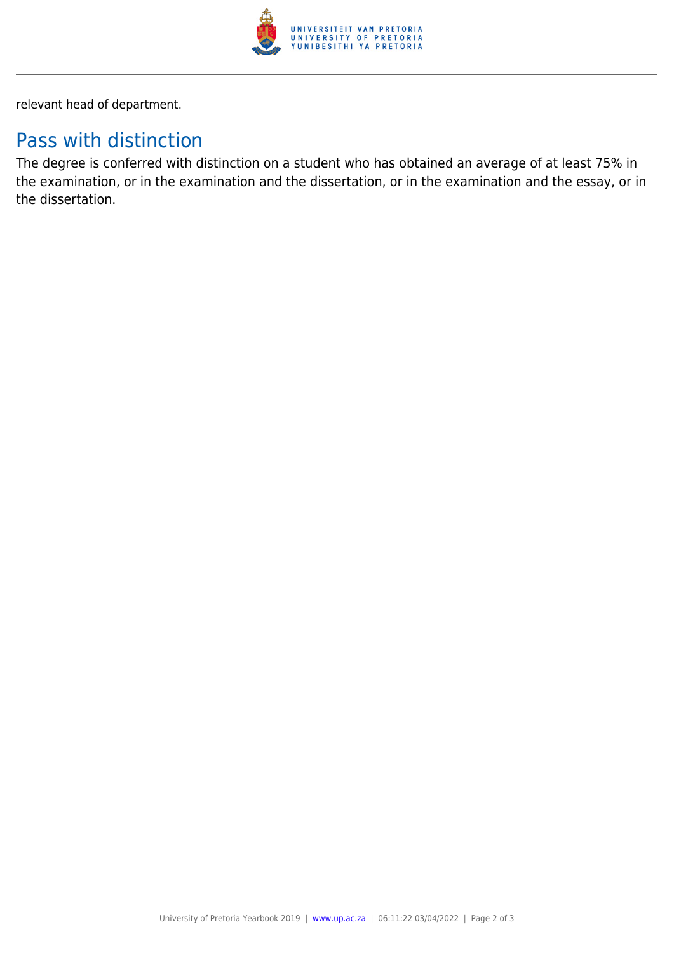

relevant head of department.

### Pass with distinction

The degree is conferred with distinction on a student who has obtained an average of at least 75% in the examination, or in the examination and the dissertation, or in the examination and the essay, or in the dissertation.